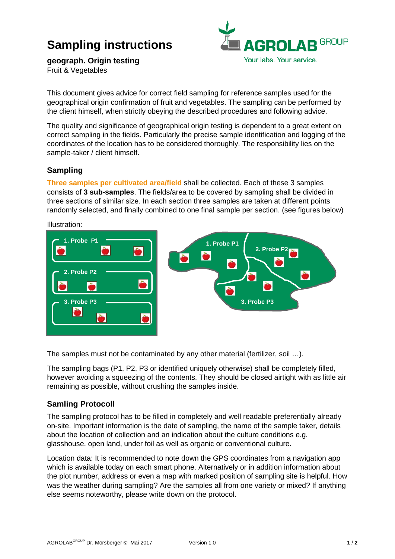# **Sampling instructions**



**geograph. Origin testing** Fruit & Vegetables

This document gives advice for correct field sampling for reference samples used for the geographical origin confirmation of fruit and vegetables. The sampling can be performed by the client himself, when strictly obeying the described procedures and following advice.

The quality and significance of geographical origin testing is dependent to a great extent on correct sampling in the fields. Particularly the precise sample identification and logging of the coordinates of the location has to be considered thoroughly. The responsibility lies on the sample-taker / client himself.

### **Sampling**

**Three samples per cultivated area/field** shall be collected. Each of these 3 samples consists of **3 sub-samples**. The fields/area to be covered by sampling shall be divided in three sections of similar size. In each section three samples are taken at different points randomly selected, and finally combined to one final sample per section. (see figures below)



The samples must not be contaminated by any other material (fertilizer, soil …).

The sampling bags (P1, P2, P3 or identified uniquely otherwise) shall be completely filled, however avoiding a squeezing of the contents. They should be closed airtight with as little air remaining as possible, without crushing the samples inside.

#### **Samling Protocoll**

The sampling protocol has to be filled in completely and well readable preferentially already on-site. Important information is the date of sampling, the name of the sample taker, details about the location of collection and an indication about the culture conditions e.g. glasshouse, open land, under foil as well as organic or conventional culture.

Location data: It is recommended to note down the GPS coordinates from a navigation app which is available today on each smart phone. Alternatively or in addition information about the plot number, address or even a map with marked position of sampling site is helpful. How was the weather during sampling? Are the samples all from one variety or mixed? If anything else seems noteworthy, please write down on the protocol.